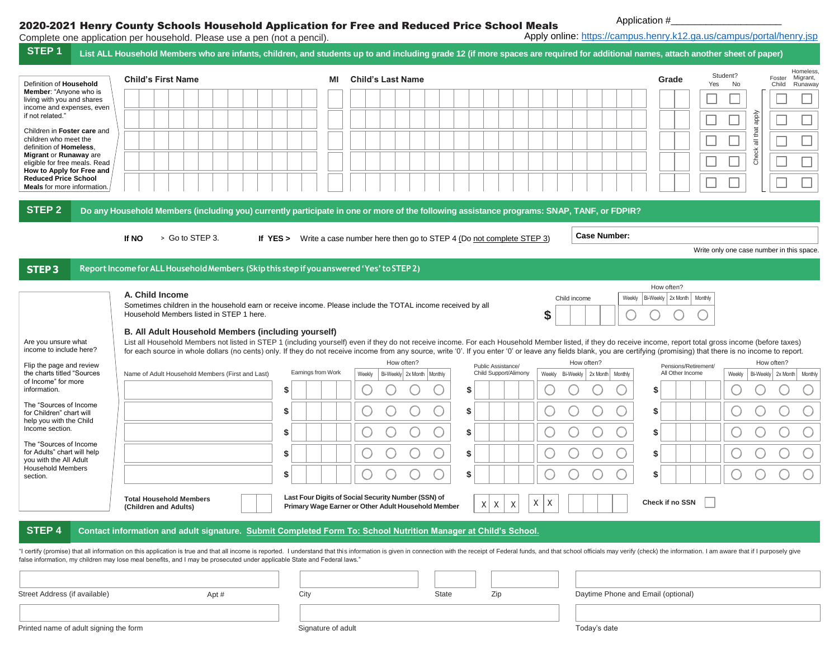## 2020-2021 Henry County Schools Household Application for Free and Reduced Price School Meals

Application #\_

|                                                                                   | Complete one application per household. Please use a pen (not a pencil).                                                                                                                                                                                                                                                                                                                                                                    |                    |                                                                     |                       | Apply online: https://campus.henry.k12.ga.us/campus/portal/henry.jsp |                                |                                                    |
|-----------------------------------------------------------------------------------|---------------------------------------------------------------------------------------------------------------------------------------------------------------------------------------------------------------------------------------------------------------------------------------------------------------------------------------------------------------------------------------------------------------------------------------------|--------------------|---------------------------------------------------------------------|-----------------------|----------------------------------------------------------------------|--------------------------------|----------------------------------------------------|
| STEP <sub>1</sub>                                                                 | List ALL Household Members who are infants, children, and students up to and including grade 12 (if more spaces are required for additional names, attach another sheet of paper)                                                                                                                                                                                                                                                           |                    |                                                                     |                       |                                                                      |                                |                                                    |
| Definition of Household                                                           | <b>Child's First Name</b>                                                                                                                                                                                                                                                                                                                                                                                                                   | ΜI                 | <b>Child's Last Name</b>                                            |                       |                                                                      | Student?<br>Grade<br>Yes<br>No | Homeless<br>Migrant,<br>Foster<br>Runaway<br>Child |
| Member: "Anyone who is<br>living with you and shares<br>income and expenses, even |                                                                                                                                                                                                                                                                                                                                                                                                                                             |                    |                                                                     |                       |                                                                      |                                |                                                    |
|                                                                                   |                                                                                                                                                                                                                                                                                                                                                                                                                                             |                    |                                                                     |                       |                                                                      |                                | ddde<br>L                                          |
| Children in Foster care and                                                       |                                                                                                                                                                                                                                                                                                                                                                                                                                             |                    |                                                                     |                       |                                                                      |                                | that<br>$\overline{\overline{\overline{\sigma}}}$  |
| <b>Migrant or Runaway are</b><br>eligible for free meals. Read                    |                                                                                                                                                                                                                                                                                                                                                                                                                                             |                    |                                                                     |                       |                                                                      |                                | Check<br>$\Box$                                    |
| How to Apply for Free and<br><b>Reduced Price School</b>                          |                                                                                                                                                                                                                                                                                                                                                                                                                                             |                    |                                                                     |                       |                                                                      |                                |                                                    |
| <b>Meals</b> for more information.                                                |                                                                                                                                                                                                                                                                                                                                                                                                                                             |                    |                                                                     |                       |                                                                      |                                |                                                    |
|                                                                                   | Do any Household Members (including you) currently participate in one or more of the following assistance programs: SNAP, TANF, or FDPIR?                                                                                                                                                                                                                                                                                                   |                    |                                                                     |                       |                                                                      |                                |                                                    |
|                                                                                   | > Go to STEP 3.<br>If NO                                                                                                                                                                                                                                                                                                                                                                                                                    | If YES >           | Write a case number here then go to STEP 4 (Do not complete STEP 3) |                       | <b>Case Number:</b>                                                  |                                |                                                    |
|                                                                                   |                                                                                                                                                                                                                                                                                                                                                                                                                                             |                    |                                                                     |                       |                                                                      |                                | Write only one case number in this space.          |
|                                                                                   | Report Income for ALL Household Members (Skip this step if you answered 'Yes' to STEP 2)                                                                                                                                                                                                                                                                                                                                                    |                    |                                                                     |                       |                                                                      |                                |                                                    |
|                                                                                   |                                                                                                                                                                                                                                                                                                                                                                                                                                             |                    |                                                                     |                       |                                                                      | How often?                     |                                                    |
|                                                                                   | A. Child Income<br>Sometimes children in the household earn or receive income. Please include the TOTAL income received by all                                                                                                                                                                                                                                                                                                              |                    |                                                                     |                       | Weekly<br>Child income                                               | Bi-Weekly 2x Month   Monthly   |                                                    |
|                                                                                   | Household Members listed in STEP 1 here.                                                                                                                                                                                                                                                                                                                                                                                                    |                    |                                                                     |                       | \$                                                                   |                                |                                                    |
|                                                                                   | B. All Adult Household Members (including yourself)                                                                                                                                                                                                                                                                                                                                                                                         |                    |                                                                     |                       |                                                                      |                                |                                                    |
| Are you unsure what<br>income to include here?                                    | List all Household Members not listed in STEP 1 (including yourself) even if they do not receive income. For each Household Member listed, if they do receive income, report total gross income (before taxes)<br>for each source in whole dollars (no cents) only. If they do not receive income from any source, write '0'. If you enter '0' or leave any fields blank, you are certifying (promising) that there is no income to report. |                    |                                                                     |                       |                                                                      |                                |                                                    |
| Flip the page and review                                                          |                                                                                                                                                                                                                                                                                                                                                                                                                                             |                    | How often?                                                          | Public Assistance/    | How often?                                                           | Pensions/Retirement/           | How often?                                         |
| the charts titled "Sources<br>of Income" for more                                 | Name of Adult Household Members (First and Last)                                                                                                                                                                                                                                                                                                                                                                                            | Earnings from Work | Weekly<br>Bi-Weekly 2x Month   Monthly                              | Child Support/Alimony | Weekly<br>Bi-Weekly   2x Month   Monthly                             | All Other Income<br>Weekly     | Bi-Weekly 2x Month Monthly                         |
| The "Sources of Income                                                            |                                                                                                                                                                                                                                                                                                                                                                                                                                             | \$                 |                                                                     | S                     |                                                                      | \$                             |                                                    |
| for Children" chart will<br>help you with the Child                               |                                                                                                                                                                                                                                                                                                                                                                                                                                             | \$                 |                                                                     | \$                    |                                                                      | \$                             |                                                    |
| Income section.<br>The "Sources of Income                                         |                                                                                                                                                                                                                                                                                                                                                                                                                                             | \$                 |                                                                     | \$                    |                                                                      | \$                             |                                                    |
| for Adults" chart will help<br>you with the All Adult                             |                                                                                                                                                                                                                                                                                                                                                                                                                                             | \$                 |                                                                     | \$                    |                                                                      | \$                             |                                                    |
| <b>Household Members</b>                                                          |                                                                                                                                                                                                                                                                                                                                                                                                                                             | \$                 |                                                                     | \$                    |                                                                      | \$                             |                                                    |
|                                                                                   | <b>Total Household Members</b>                                                                                                                                                                                                                                                                                                                                                                                                              |                    | Last Four Digits of Social Security Number (SSN) of                 |                       |                                                                      |                                |                                                    |
|                                                                                   | (Children and Adults)                                                                                                                                                                                                                                                                                                                                                                                                                       |                    | Primary Wage Earner or Other Adult Household Member                 | X<br>$X$ $X$ $X$      | $\mathsf X$                                                          | Check if no SSN                |                                                    |
|                                                                                   | Contact information and adult signature. Submit Completed Form To: School Nutrition Manager at Child's School.                                                                                                                                                                                                                                                                                                                              |                    |                                                                     |                       |                                                                      |                                |                                                    |
|                                                                                   | "I certify (promise) that all information on this application is true and that all income is reported. I understand that this information is given in connection with the receipt of Federal funds, and that school officials                                                                                                                                                                                                               |                    |                                                                     |                       |                                                                      |                                |                                                    |
|                                                                                   | false information, my children may lose meal benefits, and I may be prosecuted under applicable State and Federal laws."                                                                                                                                                                                                                                                                                                                    |                    |                                                                     |                       |                                                                      |                                |                                                    |
|                                                                                   |                                                                                                                                                                                                                                                                                                                                                                                                                                             |                    |                                                                     |                       |                                                                      |                                |                                                    |
| Street Address (if available)                                                     | Apt#                                                                                                                                                                                                                                                                                                                                                                                                                                        | City               | State                                                               | Zip                   | Daytime Phone and Email (optional)                                   |                                |                                                    |
|                                                                                   |                                                                                                                                                                                                                                                                                                                                                                                                                                             |                    |                                                                     |                       |                                                                      |                                |                                                    |
| Printed name of adult signing the form                                            |                                                                                                                                                                                                                                                                                                                                                                                                                                             | Signature of adult |                                                                     |                       | Today's date                                                         |                                |                                                    |